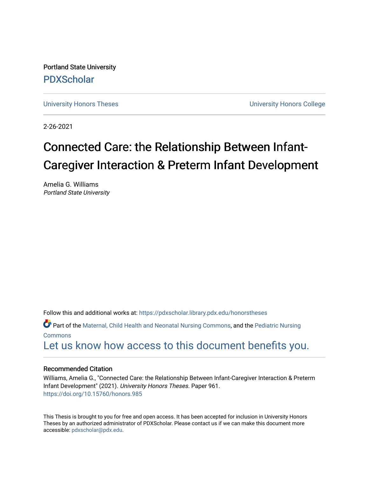Portland State University [PDXScholar](https://pdxscholar.library.pdx.edu/)

[University Honors Theses](https://pdxscholar.library.pdx.edu/honorstheses) [University Honors College](https://pdxscholar.library.pdx.edu/honors) 

2-26-2021

# Connected Care: the Relationship Between Infant-Caregiver Interaction & Preterm Infant Development

Amelia G. Williams Portland State University

Follow this and additional works at: [https://pdxscholar.library.pdx.edu/honorstheses](https://pdxscholar.library.pdx.edu/honorstheses?utm_source=pdxscholar.library.pdx.edu%2Fhonorstheses%2F961&utm_medium=PDF&utm_campaign=PDFCoverPages) 

Part of the [Maternal, Child Health and Neonatal Nursing Commons,](http://network.bepress.com/hgg/discipline/721?utm_source=pdxscholar.library.pdx.edu%2Fhonorstheses%2F961&utm_medium=PDF&utm_campaign=PDFCoverPages) and the [Pediatric Nursing](http://network.bepress.com/hgg/discipline/723?utm_source=pdxscholar.library.pdx.edu%2Fhonorstheses%2F961&utm_medium=PDF&utm_campaign=PDFCoverPages) [Commons](http://network.bepress.com/hgg/discipline/723?utm_source=pdxscholar.library.pdx.edu%2Fhonorstheses%2F961&utm_medium=PDF&utm_campaign=PDFCoverPages)

[Let us know how access to this document benefits you.](http://library.pdx.edu/services/pdxscholar-services/pdxscholar-feedback/) 

# Recommended Citation

Williams, Amelia G., "Connected Care: the Relationship Between Infant-Caregiver Interaction & Preterm Infant Development" (2021). University Honors Theses. Paper 961. <https://doi.org/10.15760/honors.985>

This Thesis is brought to you for free and open access. It has been accepted for inclusion in University Honors Theses by an authorized administrator of PDXScholar. Please contact us if we can make this document more accessible: [pdxscholar@pdx.edu.](mailto:pdxscholar@pdx.edu)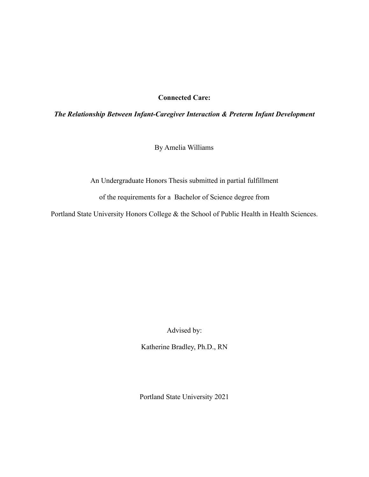# **Connected Care:**

# *The Relationship Between Infant-Caregiver Interaction & Preterm Infant Development*

By Amelia Williams

An Undergraduate Honors Thesis submitted in partial fulfillment

of the requirements for a Bachelor of Science degree from

Portland State University Honors College & the School of Public Health in Health Sciences.

Advised by:

Katherine Bradley, Ph.D., RN

Portland State University 2021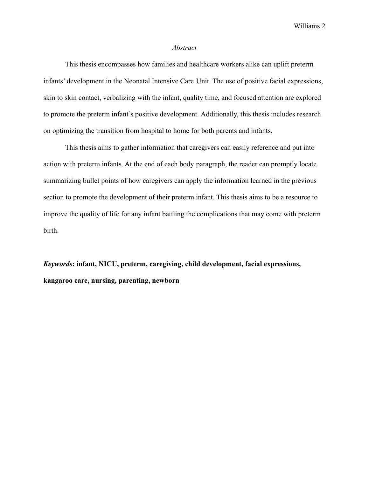#### *Abstract*

This thesis encompasses how families and healthcare workers alike can uplift preterm infants' development in the Neonatal Intensive Care Unit. The use of positive facial expressions, skin to skin contact, verbalizing with the infant, quality time, and focused attention are explored to promote the preterm infant's positive development. Additionally, this thesis includes research on optimizing the transition from hospital to home for both parents and infants.

This thesis aims to gather information that caregivers can easily reference and put into action with preterm infants. At the end of each body paragraph, the reader can promptly locate summarizing bullet points of how caregivers can apply the information learned in the previous section to promote the development of their preterm infant. This thesis aims to be a resource to improve the quality of life for any infant battling the complications that may come with preterm birth.

*Keywords***: infant, NICU, preterm, caregiving, child development, facial expressions, kangaroo care, nursing, parenting, newborn**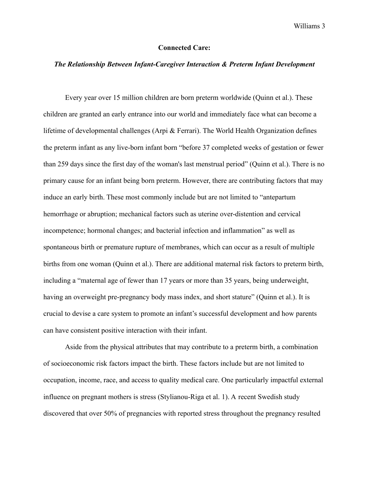### **Connected Care:**

# *The Relationship Between Infant-Caregiver Interaction & Preterm Infant Development*

Every year over 15 million children are born preterm worldwide (Quinn et al.). These children are granted an early entrance into our world and immediately face what can become a lifetime of developmental challenges (Arpi & Ferrari). The World Health Organization defines the preterm infant as any live-born infant born "before 37 completed weeks of gestation or fewer than 259 days since the first day of the woman's last menstrual period" (Quinn et al.). There is no primary cause for an infant being born preterm. However, there are contributing factors that may induce an early birth. These most commonly include but are not limited to "antepartum hemorrhage or abruption; mechanical factors such as uterine over-distention and cervical incompetence; hormonal changes; and bacterial infection and inflammation" as well as spontaneous birth or premature rupture of membranes, which can occur as a result of multiple births from one woman (Quinn et al.). There are additional maternal risk factors to preterm birth, including a "maternal age of fewer than 17 years or more than 35 years, being underweight, having an overweight pre-pregnancy body mass index, and short stature" (Quinn et al.). It is crucial to devise a care system to promote an infant's successful development and how parents can have consistent positive interaction with their infant.

Aside from the physical attributes that may contribute to a preterm birth, a combination of socioeconomic risk factors impact the birth. These factors include but are not limited to occupation, income, race, and access to quality medical care. One particularly impactful external influence on pregnant mothers is stress (Stylianou-Riga et al. 1). A recent Swedish study discovered that over 50% of pregnancies with reported stress throughout the pregnancy resulted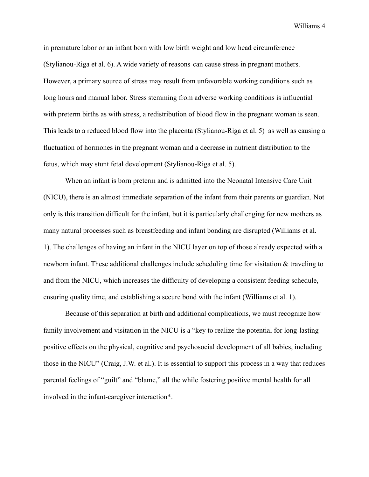in premature labor or an infant born with low birth weight and low head circumference (Stylianou-Riga et al. 6). A wide variety of reasons can cause stress in pregnant mothers. However, a primary source of stress may result from unfavorable working conditions such as long hours and manual labor. Stress stemming from adverse working conditions is influential with preterm births as with stress, a redistribution of blood flow in the pregnant woman is seen. This leads to a reduced blood flow into the placenta (Stylianou-Riga et al. 5) as well as causing a fluctuation of hormones in the pregnant woman and a decrease in nutrient distribution to the fetus, which may stunt fetal development (Stylianou-Riga et al. 5).

When an infant is born preterm and is admitted into the Neonatal Intensive Care Unit (NICU), there is an almost immediate separation of the infant from their parents or guardian. Not only is this transition difficult for the infant, but it is particularly challenging for new mothers as many natural processes such as breastfeeding and infant bonding are disrupted (Williams et al. 1). The challenges of having an infant in the NICU layer on top of those already expected with a newborn infant. These additional challenges include scheduling time for visitation & traveling to and from the NICU, which increases the difficulty of developing a consistent feeding schedule, ensuring quality time, and establishing a secure bond with the infant (Williams et al. 1).

Because of this separation at birth and additional complications, we must recognize how family involvement and visitation in the NICU is a "key to realize the potential for long-lasting positive effects on the physical, cognitive and psychosocial development of all babies, including those in the NICU" (Craig, J.W. et al.). It is essential to support this process in a way that reduces parental feelings of "guilt" and "blame," all the while fostering positive mental health for all involved in the infant-caregiver interaction\*.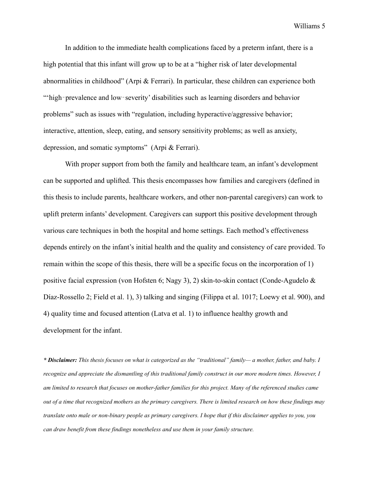In addition to the immediate health complications faced by a preterm infant, there is a high potential that this infant will grow up to be at a "higher risk of later developmental abnormalities in childhood" (Arpi & Ferrari). In particular, these children can experience both "high-prevalence and low-severity' disabilities such as learning disorders and behavior problems" such as issues with "regulation, including hyperactive/aggressive behavior; interactive, attention, sleep, eating, and sensory sensitivity problems; as well as anxiety, depression, and somatic symptoms" (Arpi & Ferrari).

With proper support from both the family and healthcare team, an infant's development can be supported and uplifted. This thesis encompasses how families and caregivers (defined in this thesis to include parents, healthcare workers, and other non-parental caregivers) can work to uplift preterm infants' development. Caregivers can support this positive development through various care techniques in both the hospital and home settings. Each method's effectiveness depends entirely on the infant's initial health and the quality and consistency of care provided. To remain within the scope of this thesis, there will be a specific focus on the incorporation of 1) positive facial expression (von Hofsten 6; Nagy 3), 2) skin-to-skin contact (Conde-Agudelo & Díaz-Rossello 2; Field et al. 1), 3) talking and singing (Filippa et al. 1017; Loewy et al. 900), and 4) quality time and focused attention (Latva et al. 1) to influence healthy growth and development for the infant.

\* Disclaimer: This thesis focuses on what is categorized as the "traditional" family—a mother, father, and baby. I recognize and appreciate the dismantling of this traditional family construct in our more modern times. However, I am limited to research that focuses on mother-father families for this project. Many of the referenced studies came out of a time that recognized mothers as the primary caregivers. There is limited research on how these findings may translate onto male or non-binary people as primary caregivers. I hope that if this disclaimer applies to you, you *can draw benefit from these findings nonetheless and use them in your family structure.*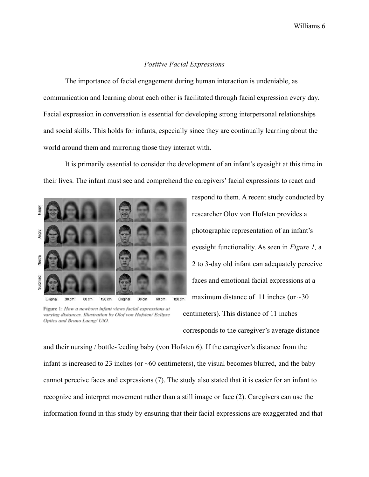#### *Positive Facial Expressions*

The importance of facial engagement during human interaction is undeniable, as communication and learning about each other is facilitated through facial expression every day. Facial expression in conversation is essential for developing strong interpersonal relationships and social skills. This holds for infants, especially since they are continually learning about the world around them and mirroring those they interact with.

It is primarily essential to consider the development of an infant's eyesight at this time in their lives. The infant must see and comprehend the caregivers' facial expressions to react and



Figure 1: How a newborn infant views facial expressions at varying distances. Illustration by Olof von Hofsten/ Eclipse Optics and Bruno Laeng/ UiO.

respond to them. A recent study conducted by researcher Olov von Hofsten provides a photographic representation of an infant's eyesight functionality. As seen in *Figure 1,* a 2 to 3-day old infant can adequately perceive faces and emotional facial expressions at a maximum distance of 11 inches (or  $\sim$ 30 centimeters). This distance of 11 inches

corresponds to the caregiver's average distance

and their nursing / bottle-feeding baby (von Hofsten 6). If the caregiver's distance from the infant is increased to 23 inches (or  $~60$  centimeters), the visual becomes blurred, and the baby cannot perceive faces and expressions (7). The study also stated that it is easier for an infant to recognize and interpret movement rather than a still image or face (2). Caregivers can use the information found in this study by ensuring that their facial expressions are exaggerated and that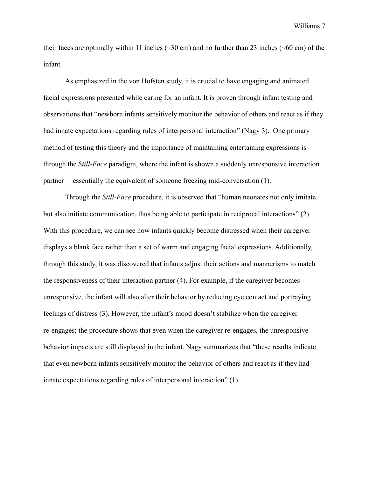their faces are optimally within 11 inches ( $\sim 30$  cm) and no further than 23 inches ( $\sim 60$  cm) of the infant.

As emphasized in the von Hofsten study, it is crucial to have engaging and animated facial expressions presented while caring for an infant. It is proven through infant testing and observations that "newborn infants sensitively monitor the behavior of others and react as if they had innate expectations regarding rules of interpersonal interaction" (Nagy 3). One primary method of testing this theory and the importance of maintaining entertaining expressions is through the *Still-Face* paradigm, where the infant is shown a suddenly unresponsive interaction partner— essentially the equivalent of someone freezing mid-conversation (1).

Through the *Still-Face* procedure, it is observed that "human neonates not only imitate but also initiate communication, thus being able to participate in reciprocal interactions" (2). With this procedure, we can see how infants quickly become distressed when their caregiver displays a blank face rather than a set of warm and engaging facial expressions. Additionally, through this study, it was discovered that infants adjust their actions and mannerisms to match the responsiveness of their interaction partner (4). For example, if the caregiver becomes unresponsive, the infant will also alter their behavior by reducing eye contact and portraying feelings of distress (3). However, the infant's mood doesn't stabilize when the caregiver re-engages; the procedure shows that even when the caregiver re-engages, the unresponsive behavior impacts are still displayed in the infant. Nagy summarizes that "these results indicate that even newborn infants sensitively monitor the behavior of others and react as if they had innate expectations regarding rules of interpersonal interaction" (1).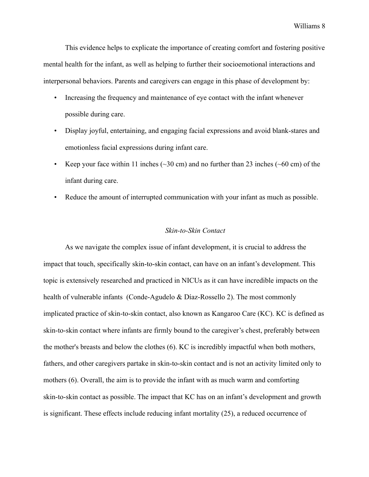This evidence helps to explicate the importance of creating comfort and fostering positive mental health for the infant, as well as helping to further their socioemotional interactions and interpersonal behaviors. Parents and caregivers can engage in this phase of development by:

- Increasing the frequency and maintenance of eye contact with the infant whenever possible during care.
- Display joyful, entertaining, and engaging facial expressions and avoid blank-stares and emotionless facial expressions during infant care.
- Keep your face within 11 inches  $(\sim 30 \text{ cm})$  and no further than 23 inches  $(\sim 60 \text{ cm})$  of the infant during care.
- Reduce the amount of interrupted communication with your infant as much as possible.

#### *Skin-to-Skin Contact*

As we navigate the complex issue of infant development, it is crucial to address the impact that touch, specifically skin-to-skin contact, can have on an infant's development. This topic is extensively researched and practiced in NICUs as it can have incredible impacts on the health of vulnerable infants (Conde-Agudelo & Díaz-Rossello 2). The most commonly implicated practice of skin-to-skin contact, also known as Kangaroo Care (KC). KC is defined as skin-to-skin contact where infants are firmly bound to the caregiver's chest, preferably between the mother's breasts and below the clothes (6). KC is incredibly impactful when both mothers, fathers, and other caregivers partake in skin-to-skin contact and is not an activity limited only to mothers (6). Overall, the aim is to provide the infant with as much warm and comforting skin-to-skin contact as possible. The impact that KC has on an infant's development and growth is significant. These effects include reducing infant mortality (25), a reduced occurrence of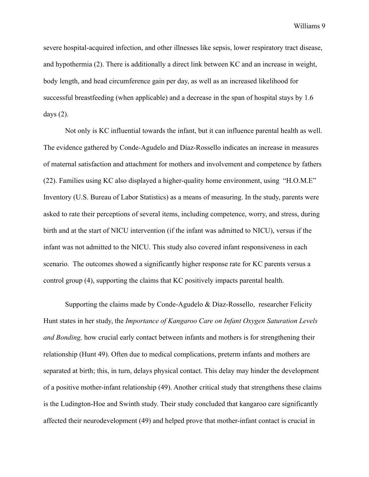severe hospital-acquired infection, and other illnesses like sepsis, lower respiratory tract disease, and hypothermia (2). There is additionally a direct link between KC and an increase in weight, body length, and head circumference gain per day, as well as an increased likelihood for successful breastfeeding (when applicable) and a decrease in the span of hospital stays by 1.6 days  $(2)$ .

Not only is KC influential towards the infant, but it can influence parental health as well. The evidence gathered by Conde-Agudelo and Díaz-Rossello indicates an increase in measures of maternal satisfaction and attachment for mothers and involvement and competence by fathers (22). Families using KC also displayed a higher-quality home environment, using "H.O.M.E" Inventory (U.S. Bureau of Labor Statistics) as a means of measuring. In the study, parents were asked to rate their perceptions of several items, including competence, worry, and stress, during birth and at the start of NICU intervention (if the infant was admitted to NICU), versus if the infant was not admitted to the NICU. This study also covered infant responsiveness in each scenario. The outcomes showed a significantly higher response rate for KC parents versus a control group (4), supporting the claims that KC positively impacts parental health.

Supporting the claims made by Conde-Agudelo & Díaz-Rossello, researcher Felicity Hunt states in her study, the *Importance of Kangaroo Care on Infant Oxygen Saturation Levels and Bonding,* how crucial early contact between infants and mothers is for strengthening their relationship (Hunt 49). Often due to medical complications, preterm infants and mothers are separated at birth; this, in turn, delays physical contact. This delay may hinder the development of a positive mother-infant relationship (49). Another critical study that strengthens these claims is the Ludington-Hoe and Swinth study. Their study concluded that kangaroo care significantly affected their neurodevelopment (49) and helped prove that mother-infant contact is crucial in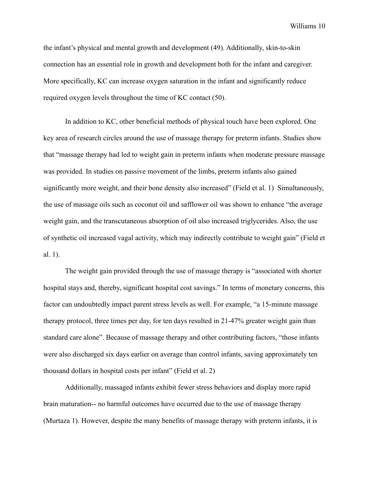the infant's physical and mental growth and development (49). Additionally, skin-to-skin connection has an essential role in growth and development both for the infant and caregiver. More specifically, KC can increase oxygen saturation in the infant and significantly reduce required oxygen levels throughout the time of KC contact (50).

In addition to KC, other beneficial methods of physical touch have been explored. One key area of research circles around the use of massage therapy for preterm infants. Studies show that "massage therapy had led to weight gain in preterm infants when moderate pressure massage was provided. In studies on passive movement of the limbs, preterm infants also gained significantly more weight, and their bone density also increased" (Field et al. 1) Simultaneously, the use of massage oils such as coconut oil and safflower oil was shown to enhance "the average weight gain, and the transcutaneous absorption of oil also increased triglycerides. Also, the use of synthetic oil increased vagal activity, which may indirectly contribute to weight gain" (Field et al. 1).

The weight gain provided through the use of massage therapy is "associated with shorter hospital stays and, thereby, significant hospital cost savings." In terms of monetary concerns, this factor can undoubtedly impact parent stress levels as well. For example, "a 15-minute massage therapy protocol, three times per day, for ten days resulted in 21-47% greater weight gain than standard care alone". Because of massage therapy and other contributing factors, "those infants were also discharged six days earlier on average than control infants, saving approximately ten thousand dollars in hospital costs per infant" (Field et al. 2)

Additionally, massaged infants exhibit fewer stress behaviors and display more rapid brain maturation-- no harmful outcomes have occurred due to the use of massage therapy (Murtaza 1). However, despite the many benefits of massage therapy with preterm infants, it is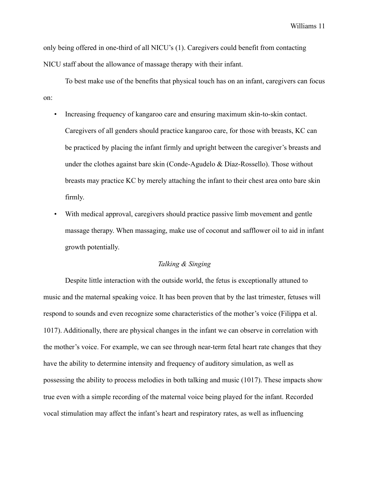only being offered in one-third of all NICU's (1). Caregivers could benefit from contacting NICU staff about the allowance of massage therapy with their infant.

To best make use of the benefits that physical touch has on an infant, caregivers can focus on:

- Increasing frequency of kangaroo care and ensuring maximum skin-to-skin contact. Caregivers of all genders should practice kangaroo care, for those with breasts, KC can be practiced by placing the infant firmly and upright between the caregiver's breasts and under the clothes against bare skin (Conde-Agudelo & Díaz-Rossello). Those without breasts may practice KC by merely attaching the infant to their chest area onto bare skin firmly.
- With medical approval, caregivers should practice passive limb movement and gentle massage therapy. When massaging, make use of coconut and safflower oil to aid in infant growth potentially.

# *Talking & Singing*

Despite little interaction with the outside world, the fetus is exceptionally attuned to music and the maternal speaking voice. It has been proven that by the last trimester, fetuses will respond to sounds and even recognize some characteristics of the mother's voice [\(Filippa et al.](https://www.zotero.org/google-docs/?ipsxRs) [1017\).](https://www.zotero.org/google-docs/?ipsxRs) Additionally, there are physical changes in the infant we can observe in correlation with the mother's voice. For example, we can see through near-term fetal heart rate changes that they have the ability to determine intensity and frequency of auditory simulation, as well as possessing the ability to process melodies in both talking and music [\(1017\)](https://www.zotero.org/google-docs/?5CBrjh). These impacts show true even with a simple recording of the maternal voice being played for the infant. Recorded vocal stimulation may affect the infant's heart and respiratory rates, as well as influencing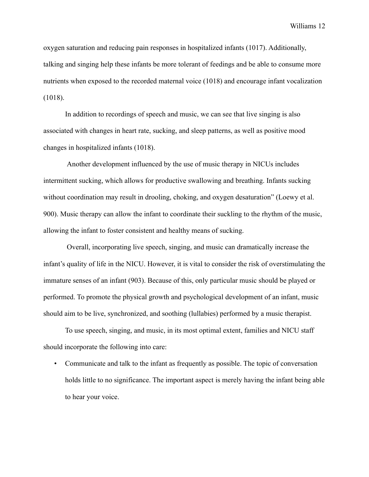oxygen saturation and reducing pain responses in hospitalized infants (1017). Additionally, talking and singing help these infants be more tolerant of feedings and be able to consume more nutrients when exposed to the recorded maternal voice (1018) and encourage infant vocalization (1018).

In addition to recordings of speech and music, we can see that live singing is also associated with changes in heart rate, sucking, and sleep patterns, as well as positive mood changes in hospitalized infants (1018).

Another development influenced by the use of music therapy in NICUs includes intermittent sucking, which allows for productive swallowing and breathing. Infants sucking without coordination may result in drooling, choking, and oxygen desaturation" (Loewy et al. 900). Music therapy can allow the infant to coordinate their suckling to the rhythm of the music, allowing the infant to foster consistent and healthy means of sucking.

Overall, incorporating live speech, singing, and music can dramatically increase the infant's quality of life in the NICU. However, it is vital to consider the risk of overstimulating the immature senses of an infant (903). Because of this, only particular music should be played or performed. To promote the physical growth and psychological development of an infant, music should aim to be live, synchronized, and soothing (lullabies) performed by a music therapist.

To use speech, singing, and music, in its most optimal extent, families and NICU staff should incorporate the following into care:

• Communicate and talk to the infant as frequently as possible. The topic of conversation holds little to no significance. The important aspect is merely having the infant being able to hear your voice.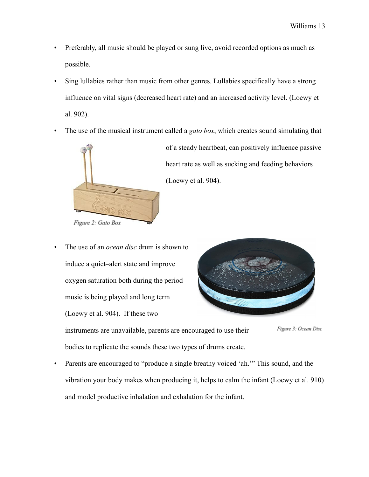- Preferably, all music should be played or sung live, avoid recorded options as much as possible.
- Sing lullabies rather than music from other genres. Lullabies specifically have a strong influence on vital signs (decreased heart rate) and an increased activity level. (Loewy et al. 902).
- The use of the musical instrument called a *gato box*, which creates sound simulating that



of a steady heartbeat, can positively influence passive heart rate as well as sucking and feeding behaviors (Loewy et al. 904).

• The use of an *ocean disc* drum is shown to induce a quiet–alert state and improve oxygen saturation both during the period music is being played and long term (Loewy et al. 904). If these two



Figure 3: Ocean Disc instruments are unavailable, parents are encouraged to use their bodies to replicate the sounds these two types of drums create.

• Parents are encouraged to "produce a single breathy voiced 'ah.'" This sound, and the vibration your body makes when producing it, helps to calm the infant (Loewy et al. 910) and model productive inhalation and exhalation for the infant.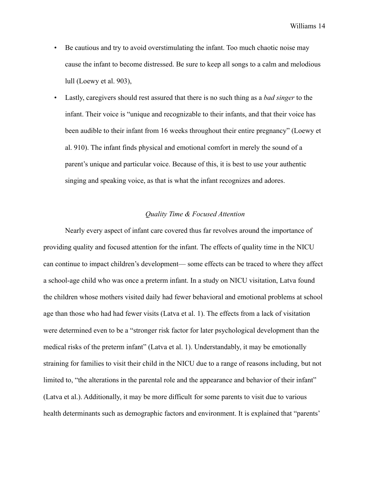- Be cautious and try to avoid overstimulating the infant. Too much chaotic noise may cause the infant to become distressed. Be sure to keep all songs to a calm and melodious lull (Loewy et al. 903),
- Lastly, caregivers should rest assured that there is no such thing as a *bad singer* to the infant. Their voice is "unique and recognizable to their infants, and that their voice has been audible to their infant from 16 weeks throughout their entire pregnancy" (Loewy et al. 910). The infant finds physical and emotional comfort in merely the sound of a parent's unique and particular voice. Because of this, it is best to use your authentic singing and speaking voice, as that is what the infant recognizes and adores.

# *Quality Time & Focused Attention*

Nearly every aspect of infant care covered thus far revolves around the importance of providing quality and focused attention for the infant. The effects of quality time in the NICU can continue to impact children's development— some effects can be traced to where they affect a school-age child who was once a preterm infant. In a study on NICU visitation, Latva found the children whose mothers visited daily had fewer behavioral and emotional problems at school age than those who had had fewer visits (Latva et al. 1). The effects from a lack of visitation were determined even to be a "stronger risk factor for later psychological development than the medical risks of the preterm infant" (Latva et al. 1). Understandably, it may be emotionally straining for families to visit their child in the NICU due to a range of reasons including, but not limited to, "the alterations in the parental role and the appearance and behavior of their infant" (Latva et al.). Additionally, it may be more difficult for some parents to visit due to various health determinants such as demographic factors and environment. It is explained that "parents"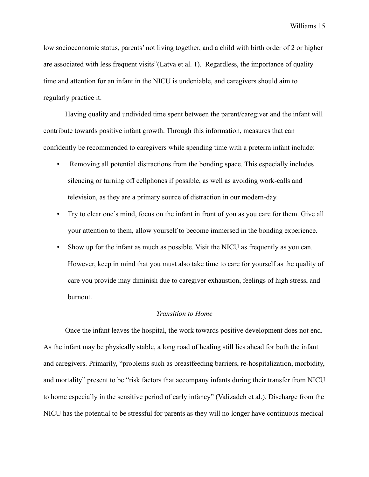low socioeconomic status, parents' not living together, and a child with birth order of 2 or higher are associated with less frequent visits"(Latva et al. 1). Regardless, the importance of quality time and attention for an infant in the NICU is undeniable, and caregivers should aim to regularly practice it.

Having quality and undivided time spent between the parent/caregiver and the infant will contribute towards positive infant growth. Through this information, measures that can confidently be recommended to caregivers while spending time with a preterm infant include:

- Removing all potential distractions from the bonding space. This especially includes silencing or turning off cellphones if possible, as well as avoiding work-calls and television, as they are a primary source of distraction in our modern-day.
- Try to clear one's mind, focus on the infant in front of you as you care for them. Give all your attention to them, allow yourself to become immersed in the bonding experience.
- Show up for the infant as much as possible. Visit the NICU as frequently as you can. However, keep in mind that you must also take time to care for yourself as the quality of care you provide may diminish due to caregiver exhaustion, feelings of high stress, and burnout.

#### *Transition to Home*

Once the infant leaves the hospital, the work towards positive development does not end. As the infant may be physically stable, a long road of healing still lies ahead for both the infant and caregivers. Primarily, "problems such as breastfeeding barriers, re-hospitalization, morbidity, and mortality" present to be "risk factors that accompany infants during their transfer from NICU to home especially in the sensitive period of early infancy" (Valizadeh et al.). Discharge from the NICU has the potential to be stressful for parents as they will no longer have continuous medical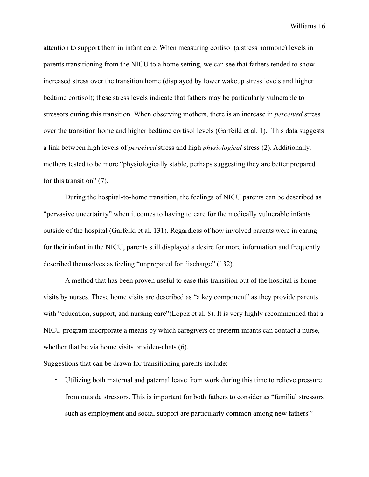attention to support them in infant care. When measuring cortisol (a stress hormone) levels in parents transitioning from the NICU to a home setting, we can see that fathers tended to show increased stress over the transition home (displayed by lower wakeup stress levels and higher bedtime cortisol); these stress levels indicate that fathers may be particularly vulnerable to stressors during this transition. When observing mothers, there is an increase in *perceived* stress over the transition home and higher bedtime cortisol levels (Garfeild et al. 1). This data suggests a link between high levels of *perceived* stress and high *physiological* stress (2). Additionally, mothers tested to be more "physiologically stable, perhaps suggesting they are better prepared for this transition" (7).

During the hospital-to-home transition, the feelings of NICU parents can be described as "pervasive uncertainty" when it comes to having to care for the medically vulnerable infants outside of the hospital (Garfeild et al. 131). Regardless of how involved parents were in caring for their infant in the NICU, parents still displayed a desire for more information and frequently described themselves as feeling "unprepared for discharge" (132).

A method that has been proven useful to ease this transition out of the hospital is home visits by nurses. These home visits are described as "a key component" as they provide parents with "education, support, and nursing care"(Lopez et al. 8). It is very highly recommended that a NICU program incorporate a means by which caregivers of preterm infants can contact a nurse, whether that be via home visits or video-chats (6).

Suggestions that can be drawn for transitioning parents include:

・ Utilizing both maternal and paternal leave from work during this time to relieve pressure from outside stressors. This is important for both fathers to consider as "familial stressors such as employment and social support are particularly common among new fathers"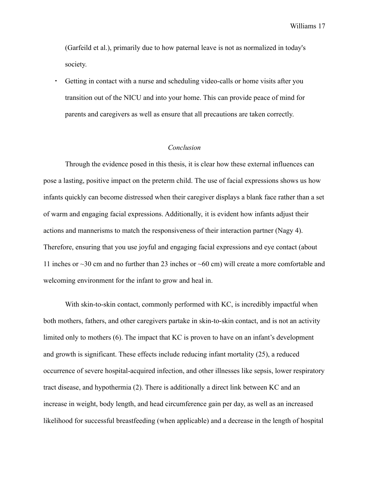(Garfeild et al.), primarily due to how paternal leave is not as normalized in today's society.

Getting in contact with a nurse and scheduling video-calls or home visits after you transition out of the NICU and into your home. This can provide peace of mind for parents and caregivers as well as ensure that all precautions are taken correctly.

# *Conclusion*

Through the evidence posed in this thesis, it is clear how these external influences can pose a lasting, positive impact on the preterm child. The use of facial expressions shows us how infants quickly can become distressed when their caregiver displays a blank face rather than a set of warm and engaging facial expressions. Additionally, it is evident how infants adjust their actions and mannerisms to match the responsiveness of their interaction partner (Nagy 4). Therefore, ensuring that you use joyful and engaging facial expressions and eye contact (about 11 inches or ~30 cm and no further than 23 inches or ~60 cm) will create a more comfortable and welcoming environment for the infant to grow and heal in.

With skin-to-skin contact, commonly performed with KC, is incredibly impactful when both mothers, fathers, and other caregivers partake in skin-to-skin contact, and is not an activity limited only to mothers (6). The impact that KC is proven to have on an infant's development and growth is significant. These effects include reducing infant mortality (25), a reduced occurrence of severe hospital-acquired infection, and other illnesses like sepsis, lower respiratory tract disease, and hypothermia (2). There is additionally a direct link between KC and an increase in weight, body length, and head circumference gain per day, as well as an increased likelihood for successful breastfeeding (when applicable) and a decrease in the length of hospital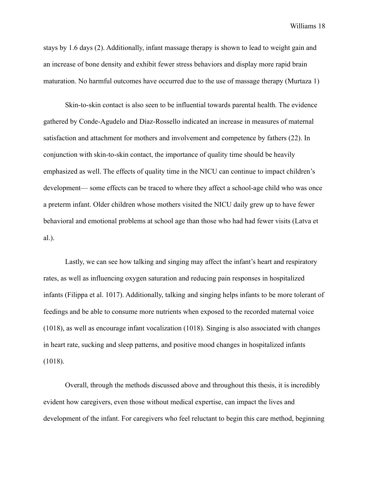stays by 1.6 days (2). Additionally, infant massage therapy is shown to lead to weight gain and an increase of bone density and exhibit fewer stress behaviors and display more rapid brain maturation. No harmful outcomes have occurred due to the use of massage therapy (Murtaza 1)

Skin-to-skin contact is also seen to be influential towards parental health. The evidence gathered by Conde-Agudelo and Díaz-Rossello indicated an increase in measures of maternal satisfaction and attachment for mothers and involvement and competence by fathers (22). In conjunction with skin-to-skin contact, the importance of quality time should be heavily emphasized as well. The effects of quality time in the NICU can continue to impact children's development— some effects can be traced to where they affect a school-age child who was once a preterm infant. Older children whose mothers visited the NICU daily grew up to have fewer behavioral and emotional problems at school age than those who had had fewer visits (Latva et al.).

Lastly, we can see how talking and singing may affect the infant's heart and respiratory rates, as well as influencing oxygen saturation and reducing pain responses in hospitalized infants ([Filippa et al.](https://www.zotero.org/google-docs/?ipsxRs) 1017). Additionally, talking and singing helps infants to be more tolerant of feedings and be able to consume more nutrients when exposed to the recorded maternal voice (1018), as well as encourage infant vocalization (1018). Singing is also associated with changes in heart rate, sucking and sleep patterns, and positive mood changes in hospitalized infants (1018).

Overall, through the methods discussed above and throughout this thesis, it is incredibly evident how caregivers, even those without medical expertise, can impact the lives and development of the infant. For caregivers who feel reluctant to begin this care method, beginning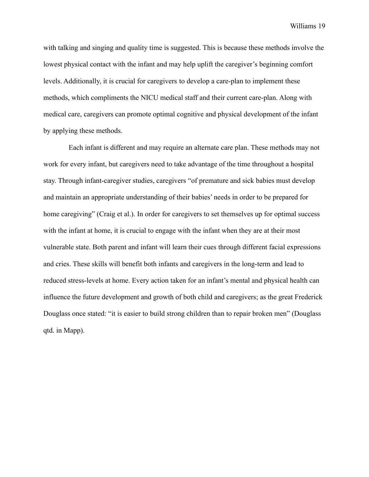with talking and singing and quality time is suggested. This is because these methods involve the lowest physical contact with the infant and may help uplift the caregiver's beginning comfort levels. Additionally, it is crucial for caregivers to develop a care-plan to implement these methods, which compliments the NICU medical staff and their current care-plan. Along with medical care, caregivers can promote optimal cognitive and physical development of the infant by applying these methods.

Each infant is different and may require an alternate care plan. These methods may not work for every infant, but caregivers need to take advantage of the time throughout a hospital stay. Through infant-caregiver studies, caregivers "of premature and sick babies must develop and maintain an appropriate understanding of their babies' needs in order to be prepared for home caregiving" (Craig et al.). In order for caregivers to set themselves up for optimal success with the infant at home, it is crucial to engage with the infant when they are at their most vulnerable state. Both parent and infant will learn their cues through different facial expressions and cries. These skills will benefit both infants and caregivers in the long-term and lead to reduced stress-levels at home. Every action taken for an infant's mental and physical health can influence the future development and growth of both child and caregivers; as the great Frederick Douglass once stated: "it is easier to build strong children than to repair broken men" (Douglass qtd. in Mapp).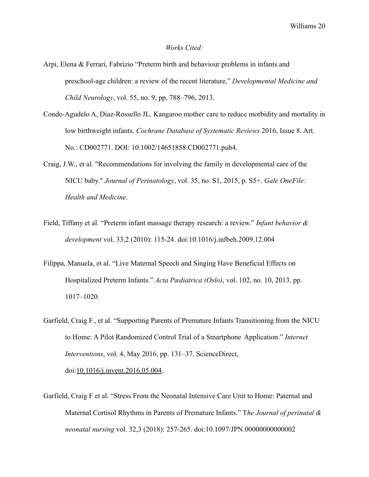#### *Works Cited:*

- Arpi, Elena & Ferrari, Fabrizio "Preterm birth and behaviour problems in infants and preschool-age children: a review of the recent literature," *Developmental Medicine and Child Neurology*, vol. 55, no. 9, pp. 788–796, 2013.
- Conde-Agudelo A, Díaz-Rossello JL. Kangaroo mother care to reduce morbidity and mortality in low birthweight infants. *Cochrane Database of Systematic Reviews* 2016, Issue 8. Art. No.: CD002771. DOI: 10.1002/14651858.CD002771.pub4.
- Craig, J.W., et al. "Recommendations for involving the family in developmental care of the NICU baby." *Journal of Perinatology*, vol. 35, no. S1, 2015, p. S5+. *Gale OneFile: Health and Medicine*.
- Field, Tiffany et al. "Preterm infant massage therapy research: a review." *Infant behavior & development* vol. 33,2 (2010): 115-24. doi:10.1016/j.infbeh.2009.12.004
- Filippa, Manuela, et al. "Live Maternal Speech and Singing Have Beneficial Effects on Hospitalized Preterm Infants." *Acta Pædiatrica (Oslo)*, vol. 102, no. 10, 2013, pp. 1017–1020.
- Garfield, Craig F., et al. "Supporting Parents of Premature Infants Transitioning from the NICU to Home: A Pilot Randomized Control Trial of a Smartphone Application." *Internet Interventions*, vol. 4, May 2016, pp. 131–37. ScienceDirect, doi:[10.1016/j.invent.2016.05.004](https://doi.org/10.1016/j.invent.2016.05.004).
- Garfield, Craig F et al. "Stress From the Neonatal Intensive Care Unit to Home: Paternal and Maternal Cortisol Rhythms in Parents of Premature Infants." T*he Journal of perinatal & neonatal nursing* vol. 32,3 (2018): 257-265. doi:10.1097/JPN.00000000000002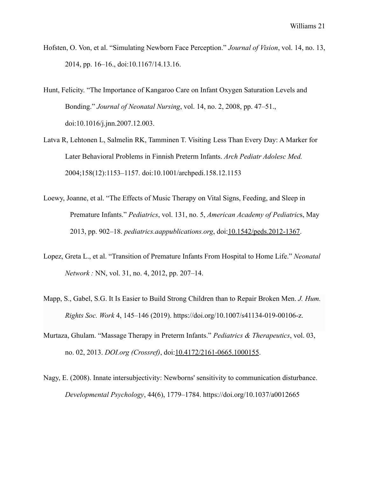- Hofsten, O. Von, et al. "Simulating Newborn Face Perception." *Journal of Vision*, vol. 14, no. 13, 2014, pp. 16–16., doi:10.1167/14.13.16.
- Hunt, Felicity. "The Importance of Kangaroo Care on Infant Oxygen Saturation Levels and Bonding." *Journal of Neonatal Nursing*, vol. 14, no. 2, 2008, pp. 47–51., doi:10.1016/j.jnn.2007.12.003.
- Latva R, Lehtonen L, Salmelin RK, Tamminen T. Visiting Less Than Every Day: A Marker for Later Behavioral Problems in Finnish Preterm Infants. *Arch Pediatr Adolesc Med.* 2004;158(12):1153–1157. doi:10.1001/archpedi.158.12.1153
- Loewy, Joanne, et al. "The Effects of Music Therapy on Vital Signs, Feeding, and Sleep in Premature Infants." *Pediatrics*, vol. 131, no. 5, *American Academy of Pediatric*s, May 2013, pp. 902–18. *pediatrics.aappublications.org*, doi[:10.1542/peds.2012-1367.](https://doi.org/10.1542/peds.2012-1367)
- Lopez, Greta L., et al. "Transition of Premature Infants From Hospital to Home Life." *Neonatal Network :* NN, vol. 31, no. 4, 2012, pp. 207–14.
- Mapp, S., Gabel, S.G. It Is Easier to Build Strong Children than to Repair Broken Men. *J. Hum. Rights Soc. Work* 4, 145–146 (2019). https://doi.org/10.1007/s41134-019-00106-z.
- Murtaza, Ghulam. "Massage Therapy in Preterm Infants." *Pediatrics & Therapeutics*, vol. 03, no. 02, 2013. *DOI.org (Crossref)*, doi:[10.4172/2161-0665.1000155.](https://doi.org/10.4172/2161-0665.1000155)
- Nagy, E. (2008). Innate intersubjectivity: Newborns' sensitivity to communication disturbance. *Developmental Psychology*, 44(6), 1779–1784. <https://doi.org/10.1037/a0012665>